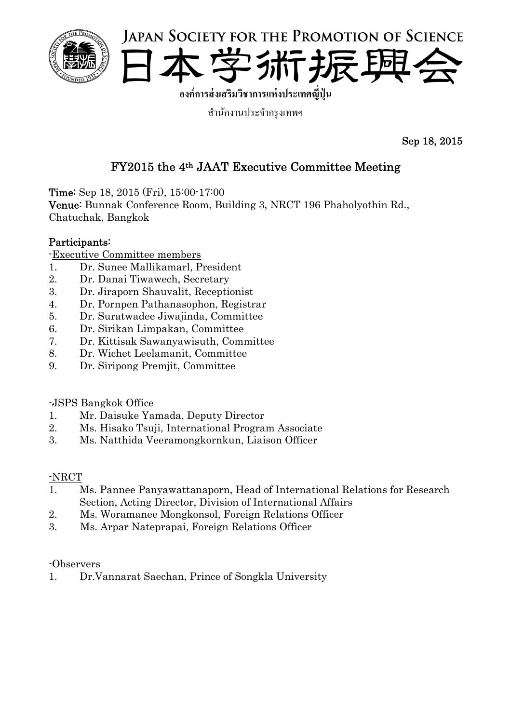



**องค์การส่งเสริมวชาการแห ิ ่งประเทศญปี่ ุ่น**

ี สำนักงานประจำกรุงเทพฯ

Sep 18, 2015

# FY2015 the 4th JAAT Executive Committee Meeting

Time: Sep 18, 2015 (Fri), 15:00-17:00

Venue: Bunnak Conference Room, Building 3, NRCT 196 Phaholyothin Rd., Chatuchak, Bangkok

## Participants:

-Executive Committee members

- 1. Dr. Sunee Mallikamarl, President
- 2. Dr. Danai Tiwawech, Secretary
- 3. Dr. Jiraporn Shauvalit, Receptionist
- 4. Dr. Pornpen Pathanasophon, Registrar
- 5. Dr. Suratwadee Jiwajinda, Committee
- 6. Dr. Sirikan Limpakan, Committee
- 7. Dr. Kittisak Sawanyawisuth, Committee
- 8. Dr. Wichet Leelamanit, Committee
- 9. Dr. Siripong Premjit, Committee

## -JSPS Bangkok Office

- 1. Mr. Daisuke Yamada, Deputy Director
- 2. Ms. Hisako Tsuji, International Program Associate
- 3. Ms. Natthida Veeramongkornkun, Liaison Officer

## -NRCT

- 1. Ms. Pannee Panyawattanaporn, Head of International Relations for Research Section, Acting Director, Division of International Affairs
- 2. Ms. Woramanee Mongkonsol, Foreign Relations Officer
- 3. Ms. Arpar Nateprapai, Foreign Relations Officer

## -Observers

1. Dr.Vannarat Saechan, Prince of Songkla University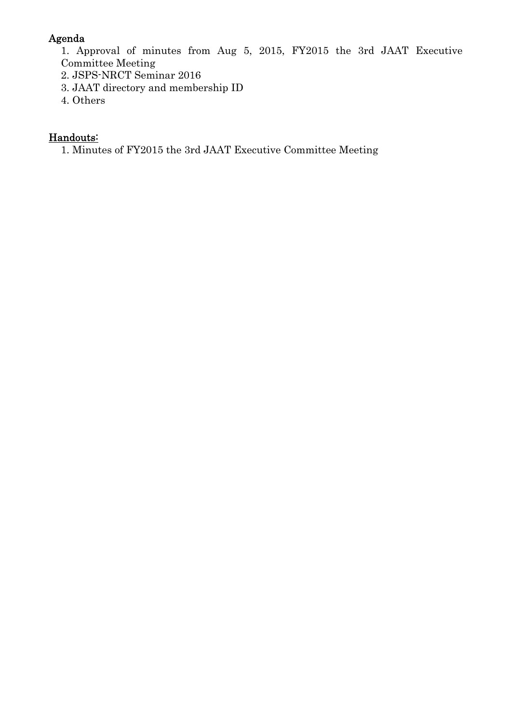## Agenda

1. Approval of minutes from Aug 5, 2015, FY2015 the 3rd JAAT Executive Committee Meeting

- 2. JSPS-NRCT Seminar 2016
- 3. JAAT directory and membership ID
- 4. Others

## Handouts:

1. Minutes of FY2015 the 3rd JAAT Executive Committee Meeting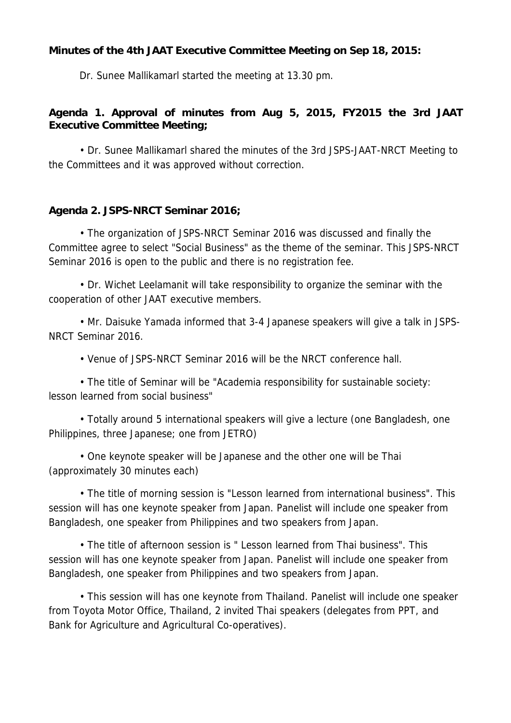#### **Minutes of the 4th JAAT Executive Committee Meeting on Sep 18, 2015:**

Dr. Sunee Mallikamarl started the meeting at 13.30 pm.

## **Agenda 1. Approval of minutes from Aug 5, 2015, FY2015 the 3rd JAAT Executive Committee Meeting;**

• Dr. Sunee Mallikamarl shared the minutes of the 3rd JSPS-JAAT-NRCT Meeting to the Committees and it was approved without correction.

## **Agenda 2. JSPS-NRCT Seminar 2016;**

• The organization of JSPS-NRCT Seminar 2016 was discussed and finally the Committee agree to select "Social Business" as the theme of the seminar. This JSPS-NRCT Seminar 2016 is open to the public and there is no registration fee.

• Dr. Wichet Leelamanit will take responsibility to organize the seminar with the cooperation of other JAAT executive members.

• Mr. Daisuke Yamada informed that 3-4 Japanese speakers will give a talk in JSPS-NRCT Seminar 2016.

• Venue of JSPS-NRCT Seminar 2016 will be the NRCT conference hall.

• The title of Seminar will be "Academia responsibility for sustainable society: lesson learned from social business"

 • Totally around 5 international speakers will give a lecture (one Bangladesh, one Philippines, three Japanese; one from JETRO)

 • One keynote speaker will be Japanese and the other one will be Thai (approximately 30 minutes each)

 • The title of morning session is "Lesson learned from international business". This session will has one keynote speaker from Japan. Panelist will include one speaker from Bangladesh, one speaker from Philippines and two speakers from Japan.

 • The title of afternoon session is " Lesson learned from Thai business". This session will has one keynote speaker from Japan. Panelist will include one speaker from Bangladesh, one speaker from Philippines and two speakers from Japan.

 • This session will has one keynote from Thailand. Panelist will include one speaker from Toyota Motor Office, Thailand, 2 invited Thai speakers (delegates from PPT, and Bank for Agriculture and Agricultural Co-operatives).